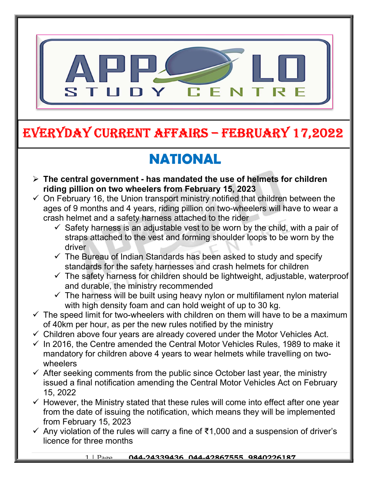

## EVERYDAY CURRENT AFFAIRS – FEbRUARY 17,2022

## NATIONAL

-

- $\triangleright$  The central government has mandated the use of helmets for children riding pillion on two wheelers from February 15, 2023
- $\checkmark$  On February 16, the Union transport ministry notified that children between the ages of 9 months and 4 years, riding pillion on two-wheelers will have to wear a crash helmet and a safety harness attached to the rider
	- $\checkmark$  Safety harness is an adjustable vest to be worn by the child, with a pair of straps attached to the vest and forming shoulder loops to be worn by the driver
	- $\checkmark$  The Bureau of Indian Standards has been asked to study and specify standards for the safety harnesses and crash helmets for children
	- $\checkmark$  The safety harness for children should be lightweight, adjustable, waterproof and durable, the ministry recommended
	- $\checkmark$  The harness will be built using heavy nylon or multifilament nylon material with high density foam and can hold weight of up to 30 kg.
- $\checkmark$  The speed limit for two-wheelers with children on them will have to be a maximum of 40km per hour, as per the new rules notified by the ministry
- $\checkmark$  Children above four years are already covered under the Motor Vehicles Act.
- $\checkmark$  In 2016, the Centre amended the Central Motor Vehicles Rules, 1989 to make it mandatory for children above 4 years to wear helmets while travelling on twowheelers
- $\checkmark$  After seeking comments from the public since October last year, the ministry issued a final notification amending the Central Motor Vehicles Act on February 15, 2022
- $\checkmark$  However, the Ministry stated that these rules will come into effect after one year from the date of issuing the notification, which means they will be implemented from February 15, 2023
- Any violation of the rules will carry a fine of ₹1,000 and a suspension of driver's licence for three months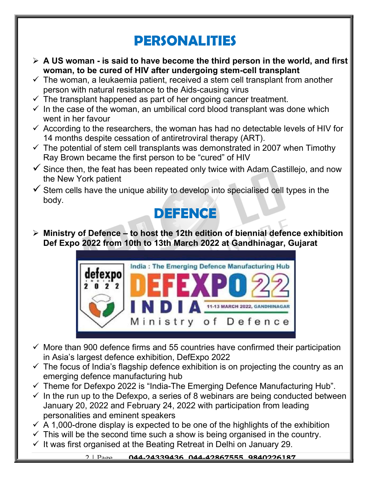## PERSONALITIES

- $\triangleright$  A US woman is said to have become the third person in the world, and first woman, to be cured of HIV after undergoing stem-cell transplant
- $\checkmark$  The woman, a leukaemia patient, received a stem cell transplant from another person with natural resistance to the Aids-causing virus
- $\checkmark$  The transplant happened as part of her ongoing cancer treatment.
- $\checkmark$  In the case of the woman, an umbilical cord blood transplant was done which went in her favour
- $\checkmark$  According to the researchers, the woman has had no detectable levels of HIV for 14 months despite cessation of antiretroviral therapy (ART).
- $\checkmark$  The potential of stem cell transplants was demonstrated in 2007 when Timothy Ray Brown became the first person to be "cured" of HIV
- $\checkmark$  Since then, the feat has been repeated only twice with Adam Castillejo, and now the New York patient
- $\checkmark$  Stem cells have the unique ability to develop into specialised cell types in the body.



 $\triangleright$  Ministry of Defence – to host the 12th edition of biennial defence exhibition Def Expo 2022 from 10th to 13th March 2022 at Gandhinagar, Gujarat



- $\checkmark$  More than 900 defence firms and 55 countries have confirmed their participation in Asia's largest defence exhibition, DefExpo 2022
- $\checkmark$  The focus of India's flagship defence exhibition is on projecting the country as an emerging defence manufacturing hub
- $\checkmark$  Theme for Defexpo 2022 is "India-The Emerging Defence Manufacturing Hub".
- $\checkmark$  In the run up to the Defexpo, a series of 8 webinars are being conducted between January 20, 2022 and February 24, 2022 with participation from leading personalities and eminent speakers
- $\checkmark$  A 1,000-drone display is expected to be one of the highlights of the exhibition
- $\checkmark$  This will be the second time such a show is being organised in the country.
- $\checkmark$  It was first organised at the Beating Retreat in Delhi on January 29.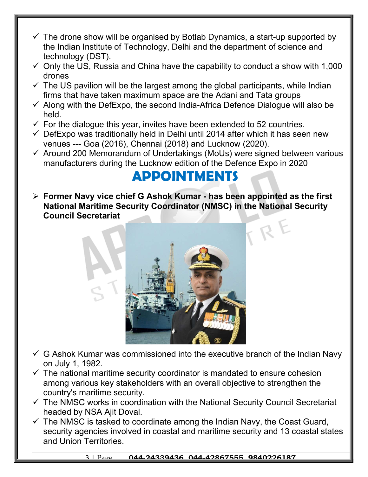- $\checkmark$  The drone show will be organised by Botlab Dynamics, a start-up supported by the Indian Institute of Technology, Delhi and the department of science and technology (DST).
- $\checkmark$  Only the US, Russia and China have the capability to conduct a show with 1,000 drones
- $\checkmark$  The US pavilion will be the largest among the global participants, while Indian firms that have taken maximum space are the Adani and Tata groups
- $\checkmark$  Along with the DefExpo, the second India-Africa Defence Dialogue will also be held.
- $\checkmark$  For the dialogue this year, invites have been extended to 52 countries.
- $\checkmark$  DefExpo was traditionally held in Delhi until 2014 after which it has seen new venues --- Goa (2016), Chennai (2018) and Lucknow (2020).
- $\checkmark$  Around 200 Memorandum of Undertakings (MoUs) were signed between various manufacturers during the Lucknow edition of the Defence Expo in 2020

## APPOINTMENTS

 $\triangleright$  Former Navy vice chief G Ashok Kumar - has been appointed as the first National Maritime Security Coordinator (NMSC) in the National Security Council Secretariat



- $\checkmark$  G Ashok Kumar was commissioned into the executive branch of the Indian Navy on July 1, 1982.
- $\checkmark$  The national maritime security coordinator is mandated to ensure cohesion among various key stakeholders with an overall objective to strengthen the country's maritime security.
- $\checkmark$  The NMSC works in coordination with the National Security Council Secretariat headed by NSA Ajit Doval.
- $\checkmark$  The NMSC is tasked to coordinate among the Indian Navy, the Coast Guard, security agencies involved in coastal and maritime security and 13 coastal states and Union Territories.